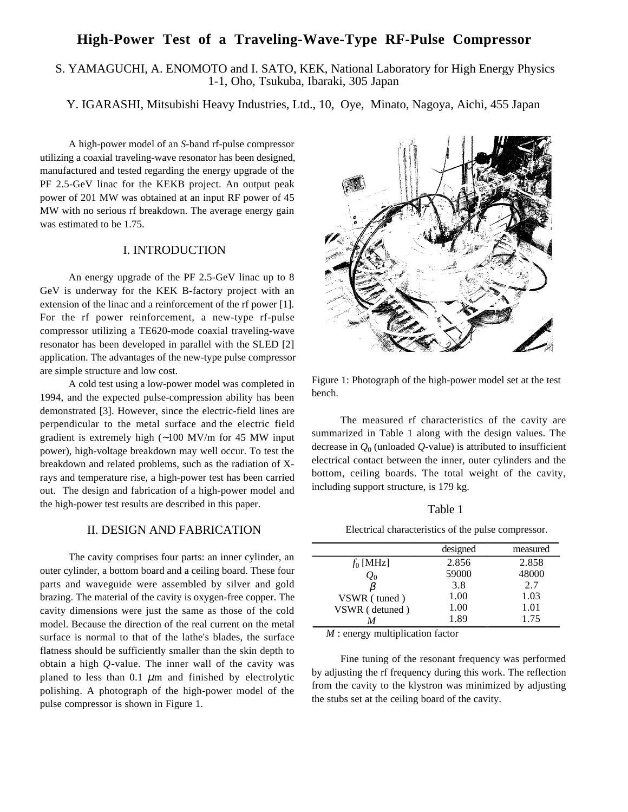# **High-Power Test of a Traveling-Wave-Type RF-Pulse Compressor**

# S. YAMAGUCHI, A. ENOMOTO and I. SATO, KEK, National Laboratory for High Energy Physics 1-1, Oho, Tsukuba, Ibaraki, 305 Japan

Y. IGARASHI, Mitsubishi Heavy Industries, Ltd., 10, Oye, Minato, Nagoya, Aichi, 455 Japan

A high-power model of an *S*-band rf-pulse compressor utilizing a coaxial traveling-wave resonator has been designed, manufactured and tested regarding the energy upgrade of the PF 2.5-GeV linac for the KEKB project. An output peak power of 201 MW was obtained at an input RF power of 45 MW with no serious rf breakdown. The average energy gain was estimated to be 1.75.

# I. INTRODUCTION

An energy upgrade of the PF 2.5-GeV linac up to 8 GeV is underway for the KEK B-factory project with an extension of the linac and a reinforcement of the rf power [1]. For the rf power reinforcement, a new-type rf-pulse compressor utilizing a TE620-mode coaxial traveling-wave resonator has been developed in parallel with the SLED [2] application. The advantages of the new-type pulse compressor are simple structure and low cost.

A cold test using a low-power model was completed in 1994, and the expected pulse-compression ability has been demonstrated [3]. However, since the electric-field lines are perpendicular to the metal surface and the electric field gradient is extremely high (∼100 MV/m for 45 MW input power), high-voltage breakdown may well occur. To test the breakdown and related problems, such as the radiation of Xrays and temperature rise, a high-power test has been carried out. The design and fabrication of a high-power model and the high-power test results are described in this paper.

### II. DESIGN AND FABRICATION

The cavity comprises four parts: an inner cylinder, an outer cylinder, a bottom board and a ceiling board. These four parts and waveguide were assembled by silver and gold brazing. The material of the cavity is oxygen-free copper. The cavity dimensions were just the same as those of the cold model. Because the direction of the real current on the metal surface is normal to that of the lathe's blades, the surface flatness should be sufficiently smaller than the skin depth to obtain a high *Q*-value. The inner wall of the cavity was planed to less than  $0.1 \mu m$  and finished by electrolytic polishing. A photograph of the high-power model of the pulse compressor is shown in Figure 1.



Figure 1: Photograph of the high-power model set at the test bench.

The measured rf characteristics of the cavity are summarized in Table 1 along with the design values. The decrease in  $Q_0$  (unloaded  $Q$ -value) is attributed to insufficient electrical contact between the inner, outer cylinders and the bottom, ceiling boards. The total weight of the cavity, including support structure, is 179 kg.

### Table 1

Electrical characteristics of the pulse compressor.

|                 | designed | measured |
|-----------------|----------|----------|
| $f_0$ [MHz]     | 2.856    | 2.858    |
| $\mathcal{Q}_0$ | 59000    | 48000    |
|                 | 3.8      | 2.7      |
| VSWR (tuned)    | 1.00     | 1.03     |
| VSWR (detuned)  | 1.00     | 1.01     |
|                 | 1.89     | 1.75     |

*M* : energy multiplication factor

Fine tuning of the resonant frequency was performed by adjusting the rf frequency during this work. The reflection from the cavity to the klystron was minimized by adjusting the stubs set at the ceiling board of the cavity.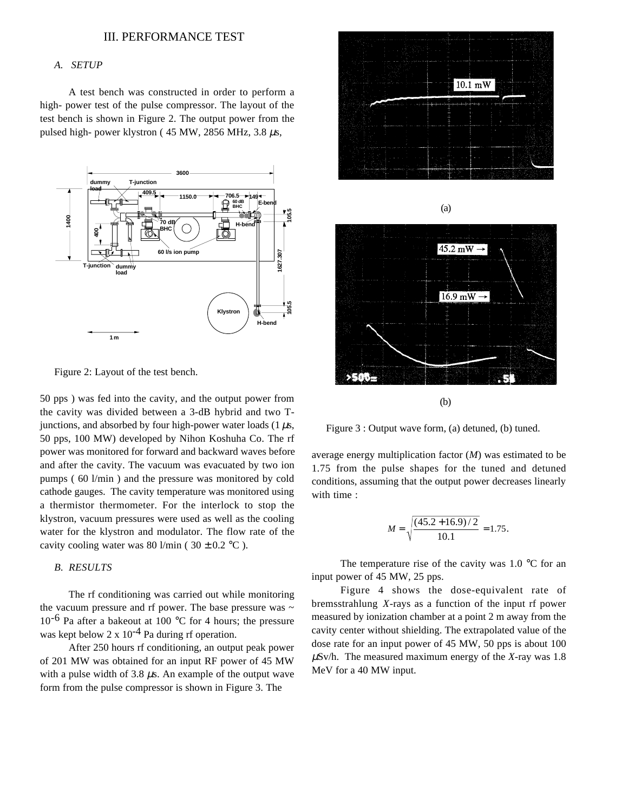#### III. PERFORMANCE TEST

#### *A. SETUP*

A test bench was constructed in order to perform a high- power test of the pulse compressor. The layout of the test bench is shown in Figure 2. The output power from the pulsed high- power klystron ( $45 \text{ MW}$ ,  $2856 \text{ MHz}$ ,  $3.8 \mu s$ ,



Figure 2: Layout of the test bench.

50 pps ) was fed into the cavity, and the output power from the cavity was divided between a 3-dB hybrid and two Tjunctions, and absorbed by four high-power water loads  $(1 \mu s,$ 50 pps, 100 MW) developed by Nihon Koshuha Co. The rf power was monitored for forward and backward waves before and after the cavity. The vacuum was evacuated by two ion pumps ( 60 l/min ) and the pressure was monitored by cold cathode gauges. The cavity temperature was monitored using a thermistor thermometer. For the interlock to stop the klystron, vacuum pressures were used as well as the cooling water for the klystron and modulator. The flow rate of the cavity cooling water was 80 l/min ( $30 \pm 0.2$  °C).

#### *B. RESULTS*

The rf conditioning was carried out while monitoring the vacuum pressure and rf power. The base pressure was  $\sim$  $10^{-6}$  Pa after a bakeout at 100 °C for 4 hours; the pressure was kept below 2 x  $10^{-4}$  Pa during rf operation.

After 250 hours rf conditioning, an output peak power of 201 MW was obtained for an input RF power of 45 MW with a pulse width of 3.8  $\mu$ s. An example of the output wave form from the pulse compressor is shown in Figure 3. The



(a)  $45.2 \text{ mW} \rightarrow$  $16.9 \text{ mW}$   $\rightarrow$ 



Figure 3 : Output wave form, (a) detuned, (b) tuned.

**SERVE** 

average energy multiplication factor (*M*) was estimated to be 1.75 from the pulse shapes for the tuned and detuned conditions, assuming that the output power decreases linearly with time :

$$
M = \sqrt{\frac{(45.2 + 16.9)/2}{10.1}} = 1.75.
$$

The temperature rise of the cavity was  $1.0 \degree$ C for an input power of 45 MW, 25 pps.

Figure 4 shows the dose-equivalent rate of bremsstrahlung *X*-rays as a function of the input rf power measured by ionization chamber at a point 2 m away from the cavity center without shielding. The extrapolated value of the dose rate for an input power of 45 MW, 50 pps is about 100 µSv/h. The measured maximum energy of the *X*-ray was 1.8 MeV for a 40 MW input.